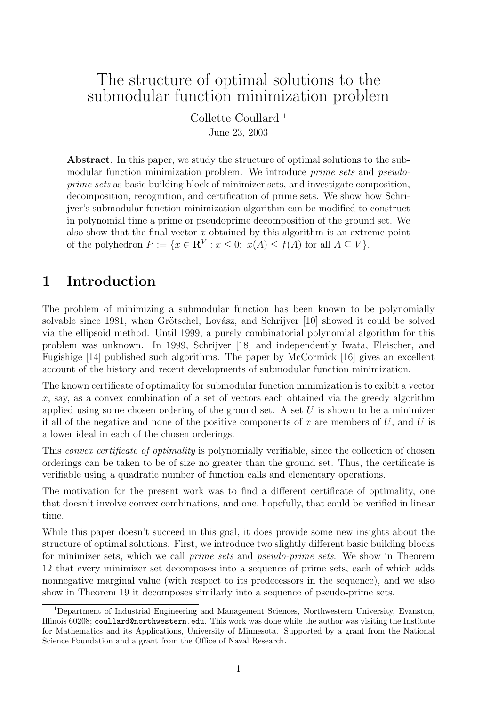# The structure of optimal solutions to the submodular function minimization problem

Collette Coullard <sup>1</sup> June 23, 2003

Abstract. In this paper, we study the structure of optimal solutions to the submodular function minimization problem. We introduce *prime sets* and *pseudo*prime sets as basic building block of minimizer sets, and investigate composition, decomposition, recognition, and certification of prime sets. We show how Schrijver's submodular function minimization algorithm can be modified to construct in polynomial time a prime or pseudoprime decomposition of the ground set. We also show that the final vector  $x$  obtained by this algorithm is an extreme point of the polyhedron  $P := \{x \in \mathbf{R}^V : x \leq 0; x(A) \leq f(A) \text{ for all } A \subseteq V\}.$ 

# 1 Introduction

The problem of minimizing a submodular function has been known to be polynomially solvable since 1981, when Grötschel, Lovász, and Schrijver [10] showed it could be solved via the ellipsoid method. Until 1999, a purely combinatorial polynomial algorithm for this problem was unknown. In 1999, Schrijver [18] and independently Iwata, Fleischer, and Fugishige [14] published such algorithms. The paper by McCormick [16] gives an excellent account of the history and recent developments of submodular function minimization.

The known certificate of optimality for submodular function minimization is to exibit a vector  $x$ , say, as a convex combination of a set of vectors each obtained via the greedy algorithm applied using some chosen ordering of the ground set. A set  $U$  is shown to be a minimizer if all of the negative and none of the positive components of x are members of  $U$ , and  $U$  is a lower ideal in each of the chosen orderings.

This *convex certificate of optimality* is polynomially verifiable, since the collection of chosen orderings can be taken to be of size no greater than the ground set. Thus, the certificate is verifiable using a quadratic number of function calls and elementary operations.

The motivation for the present work was to find a different certificate of optimality, one that doesn't involve convex combinations, and one, hopefully, that could be verified in linear time.

While this paper doesn't succeed in this goal, it does provide some new insights about the structure of optimal solutions. First, we introduce two slightly different basic building blocks for minimizer sets, which we call prime sets and pseudo-prime sets. We show in Theorem 12 that every minimizer set decomposes into a sequence of prime sets, each of which adds nonnegative marginal value (with respect to its predecessors in the sequence), and we also show in Theorem 19 it decomposes similarly into a sequence of pseudo-prime sets.

<sup>1</sup>Department of Industrial Engineering and Management Sciences, Northwestern University, Evanston, Illinois 60208; coullard@northwestern.edu. This work was done while the author was visiting the Institute for Mathematics and its Applications, University of Minnesota. Supported by a grant from the National Science Foundation and a grant from the Office of Naval Research.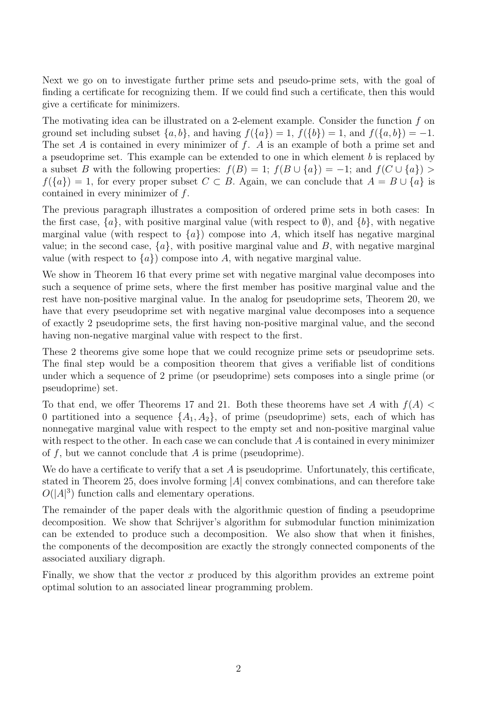Next we go on to investigate further prime sets and pseudo-prime sets, with the goal of finding a certificate for recognizing them. If we could find such a certificate, then this would give a certificate for minimizers.

The motivating idea can be illustrated on a 2-element example. Consider the function f on ground set including subset  $\{a, b\}$ , and having  $f(\{a\}) = 1$ ,  $f(\{b\}) = 1$ , and  $f(\{a, b\}) = -1$ . The set A is contained in every minimizer of  $f$ . A is an example of both a prime set and a pseudoprime set. This example can be extended to one in which element b is replaced by a subset B with the following properties:  $f(B) = 1$ ;  $f(B \cup \{a\}) = -1$ ; and  $f(C \cup \{a\}) >$  $f(\lbrace a \rbrace) = 1$ , for every proper subset  $C \subset B$ . Again, we can conclude that  $A = B \cup \lbrace a \rbrace$  is contained in every minimizer of f.

The previous paragraph illustrates a composition of ordered prime sets in both cases: In the first case,  $\{a\}$ , with positive marginal value (with respect to  $\emptyset$ ), and  $\{b\}$ , with negative marginal value (with respect to  $\{a\}$ ) compose into A, which itself has negative marginal value; in the second case,  $\{a\}$ , with positive marginal value and B, with negative marginal value (with respect to  ${a}$ ) compose into A, with negative marginal value.

We show in Theorem 16 that every prime set with negative marginal value decomposes into such a sequence of prime sets, where the first member has positive marginal value and the rest have non-positive marginal value. In the analog for pseudoprime sets, Theorem 20, we have that every pseudoprime set with negative marginal value decomposes into a sequence of exactly 2 pseudoprime sets, the first having non-positive marginal value, and the second having non-negative marginal value with respect to the first.

These 2 theorems give some hope that we could recognize prime sets or pseudoprime sets. The final step would be a composition theorem that gives a verifiable list of conditions under which a sequence of 2 prime (or pseudoprime) sets composes into a single prime (or pseudoprime) set.

To that end, we offer Theorems 17 and 21. Both these theorems have set A with  $f(A)$ 0 partitioned into a sequence  $\{A_1, A_2\}$ , of prime (pseudoprime) sets, each of which has nonnegative marginal value with respect to the empty set and non-positive marginal value with respect to the other. In each case we can conclude that  $A$  is contained in every minimizer of  $f$ , but we cannot conclude that  $A$  is prime (pseudoprime).

We do have a certificate to verify that a set  $A$  is pseudoprime. Unfortunately, this certificate, stated in Theorem 25, does involve forming  $|A|$  convex combinations, and can therefore take  $O(|A|^3)$  function calls and elementary operations.

The remainder of the paper deals with the algorithmic question of finding a pseudoprime decomposition. We show that Schrijver's algorithm for submodular function minimization can be extended to produce such a decomposition. We also show that when it finishes, the components of the decomposition are exactly the strongly connected components of the associated auxiliary digraph.

Finally, we show that the vector  $x$  produced by this algorithm provides an extreme point optimal solution to an associated linear programming problem.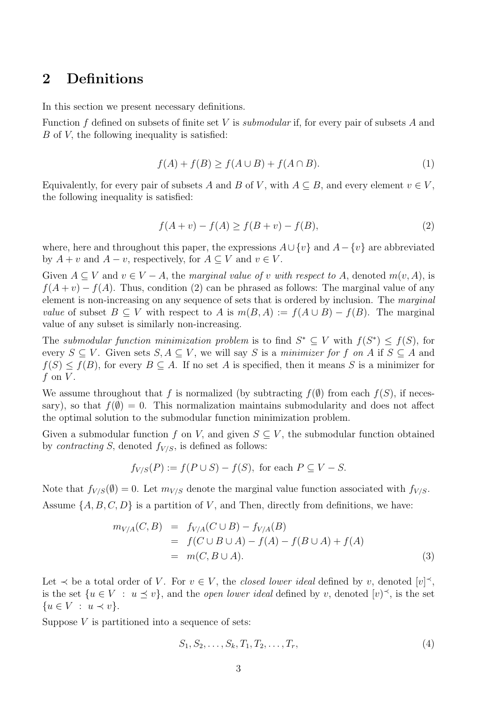## 2 Definitions

In this section we present necessary definitions.

Function  $f$  defined on subsets of finite set  $V$  is *submodular* if, for every pair of subsets  $A$  and B of V, the following inequality is satisfied:

$$
f(A) + f(B) \ge f(A \cup B) + f(A \cap B). \tag{1}
$$

Equivalently, for every pair of subsets A and B of V, with  $A \subseteq B$ , and every element  $v \in V$ , the following inequality is satisfied:

$$
f(A + v) - f(A) \ge f(B + v) - f(B),
$$
\n(2)

where, here and throughout this paper, the expressions  $A \cup \{v\}$  and  $A - \{v\}$  are abbreviated by  $A + v$  and  $A - v$ , respectively, for  $A \subseteq V$  and  $v \in V$ .

Given  $A \subseteq V$  and  $v \in V - A$ , the marginal value of v with respect to A, denoted  $m(v, A)$ , is  $f(A + v) - f(A)$ . Thus, condition (2) can be phrased as follows: The marginal value of any element is non-increasing on any sequence of sets that is ordered by inclusion. The marginal value of subset  $B \subseteq V$  with respect to A is  $m(B, A) := f(A \cup B) - f(B)$ . The marginal value of any subset is similarly non-increasing.

The submodular function minimization problem is to find  $S^* \subseteq V$  with  $f(S^*) \leq f(S)$ , for every  $S \subseteq V$ . Given sets  $S, A \subseteq V$ , we will say S is a minimizer for f on A if  $S \subseteq A$  and  $f(S) \leq f(B)$ , for every  $B \subseteq A$ . If no set A is specified, then it means S is a minimizer for f on  $V$ .

We assume throughout that f is normalized (by subtracting  $f(\emptyset)$  from each  $f(S)$ , if necessary), so that  $f(\emptyset) = 0$ . This normalization maintains submodularity and does not affect the optimal solution to the submodular function minimization problem.

Given a submodular function f on V, and given  $S \subseteq V$ , the submodular function obtained by *contracting* S, denoted  $f_{V/S}$ , is defined as follows:

$$
f_{V/S}(P) := f(P \cup S) - f(S), \text{ for each } P \subseteq V - S.
$$

Note that  $f_{V/S}(\emptyset) = 0$ . Let  $m_{V/S}$  denote the marginal value function associated with  $f_{V/S}$ . Assume  $\{A, B, C, D\}$  is a partition of V, and Then, directly from definitions, we have:

$$
m_{V/A}(C, B) = f_{V/A}(C \cup B) - f_{V/A}(B)
$$
  
=  $f(C \cup B \cup A) - f(A) - f(B \cup A) + f(A)$   
=  $m(C, B \cup A).$  (3)

Let  $\prec$  be a total order of V. For  $v \in V$ , the *closed lower ideal* defined by v, denoted  $[v]^\prec$ , is the set  $\{u \in V : u \le v\}$ , and the *open lower ideal* defined by v, denoted  $[v]^\prec$ , is the set  ${u \in V : u \prec v}.$ 

Suppose  $V$  is partitioned into a sequence of sets:

$$
S_1, S_2, \dots, S_k, T_1, T_2, \dots, T_r,
$$
\n(4)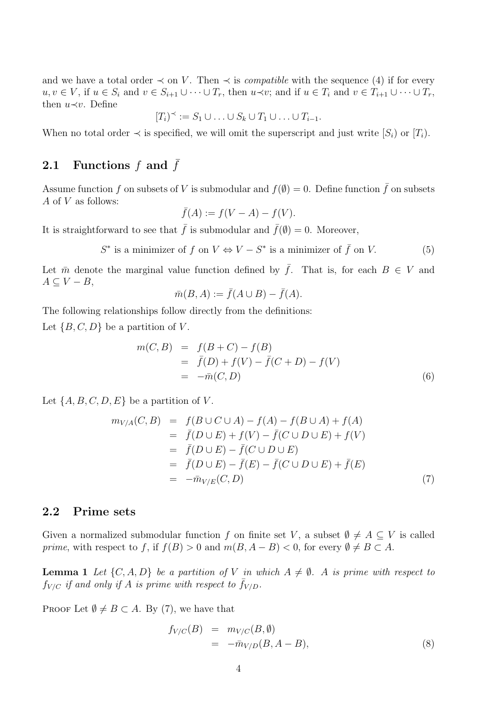and we have a total order  $\prec$  on V. Then  $\prec$  is *compatible* with the sequence (4) if for every  $u, v \in V$ , if  $u \in S_i$  and  $v \in S_{i+1} \cup \cdots \cup T_r$ , then  $u \prec v$ ; and if  $u \in T_i$  and  $v \in T_{i+1} \cup \cdots \cup T_r$ , then  $u \prec v$ . Define

$$
[T_i)^\prec := S_1 \cup \ldots \cup S_k \cup T_1 \cup \ldots \cup T_{i-1}.
$$

When no total order  $\prec$  is specified, we will omit the superscript and just write  $[S_i]$  or  $[T_i]$ .

# 2.1 Functions  $f$  and  $\bar{f}$

Assume function f on subsets of V is submodular and  $f(\emptyset) = 0$ . Define function f on subsets A of V as follows:

$$
\bar{f}(A) := f(V - A) - f(V).
$$

It is straightforward to see that  $\bar{f}$  is submodular and  $\bar{f}(\emptyset) = 0$ . Moreover,

$$
S^* \text{ is a minimizer of } f \text{ on } V \Leftrightarrow V - S^* \text{ is a minimizer of } \bar{f} \text{ on } V. \tag{5}
$$

Let  $\bar{m}$  denote the marginal value function defined by  $\bar{f}$ . That is, for each  $B \in V$  and  $A \subseteq V - B$ ,

$$
\bar{m}(B, A) := \bar{f}(A \cup B) - \bar{f}(A).
$$

The following relationships follow directly from the definitions:

Let  $\{B, C, D\}$  be a partition of V.

$$
m(C, B) = f(B + C) - f(B)
$$
  
=  $\bar{f}(D) + f(V) - \bar{f}(C + D) - f(V)$   
=  $-\bar{m}(C, D)$  (6)

Let  $\{A, B, C, D, E\}$  be a partition of V.

$$
m_{V/A}(C, B) = f(B \cup C \cup A) - f(A) - f(B \cup A) + f(A)
$$
  
=  $\bar{f}(D \cup E) + f(V) - \bar{f}(C \cup D \cup E) + f(V)$   
=  $\bar{f}(D \cup E) - \bar{f}(C \cup D \cup E)$   
=  $\bar{f}(D \cup E) - \bar{f}(E) - \bar{f}(C \cup D \cup E) + \bar{f}(E)$   
=  $-\bar{m}_{V/E}(C, D)$  (7)

### 2.2 Prime sets

Given a normalized submodular function f on finite set V, a subset  $\emptyset \neq A \subseteq V$  is called prime, with respect to f, if  $f(B) > 0$  and  $m(B, A - B) < 0$ , for every  $\emptyset \neq B \subset A$ .

**Lemma 1** Let  $\{C, A, D\}$  be a partition of V in which  $A \neq \emptyset$ . A is prime with respect to  $f_{V/C}$  if and only if A is prime with respect to  $\bar{f}_{V/D}$ .

PROOF Let  $\emptyset \neq B \subset A$ . By (7), we have that

$$
f_{V/C}(B) = m_{V/C}(B, \emptyset)
$$
  
=  $-\bar{m}_{V/D}(B, A - B),$  (8)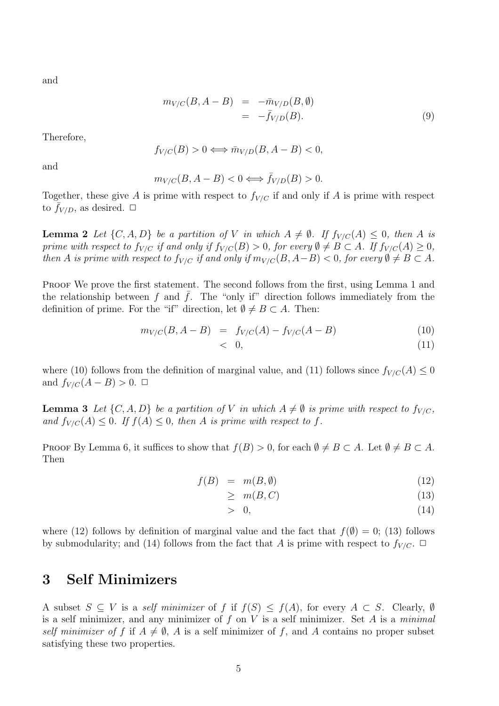and

$$
m_{V/C}(B, A - B) = -\bar{m}_{V/D}(B, \emptyset)
$$
  
=  $-\bar{f}_{V/D}(B).$  (9)

Therefore,

$$
f_{V/C}(B) > 0 \Longleftrightarrow \bar{m}_{V/D}(B, A - B) < 0,
$$

and

$$
m_{V/C}(B, A - B) < 0 \iff \bar{f}_{V/D}(B) > 0.
$$

Together, these give A is prime with respect to  $f_{V/C}$  if and only if A is prime with respect to  $f_{V/D}$ , as desired.  $\Box$ 

**Lemma 2** Let  $\{C, A, D\}$  be a partition of V in which  $A \neq \emptyset$ . If  $f_{V/C}(A) \leq 0$ , then A is prime with respect to  $f_{V/C}$  if and only if  $f_{V/C}(B) > 0$ , for every  $\emptyset \neq B \subset A$ . If  $f_{V/C}(A) \geq 0$ , then A is prime with respect to  $f_{V/C}$  if and only if  $m_{V/C}(B, A-B) < 0$ , for every  $\emptyset \neq B \subset A$ .

PROOF We prove the first statement. The second follows from the first, using Lemma 1 and the relationship between f and f. The "only if" direction follows immediately from the definition of prime. For the "if" direction, let  $\emptyset \neq B \subset A$ . Then:

$$
m_{V/C}(B, A - B) = f_{V/C}(A) - f_{V/C}(A - B)
$$
\n(10)

$$
< 0,\tag{11}
$$

where (10) follows from the definition of marginal value, and (11) follows since  $f_{V/C}(A) \leq 0$ and  $f_{V/C}(A - B) > 0$ .  $\Box$ 

**Lemma 3** Let  $\{C, A, D\}$  be a partition of V in which  $A \neq \emptyset$  is prime with respect to  $f_{V/C}$ , and  $f_{V/C}(A) \leq 0$ . If  $f(A) \leq 0$ , then A is prime with respect to f.

PROOF By Lemma 6, it suffices to show that  $f(B) > 0$ , for each  $\emptyset \neq B \subset A$ . Let  $\emptyset \neq B \subset A$ . Then

$$
f(B) = m(B, \emptyset) \tag{12}
$$

$$
\geq m(B, C) \tag{13}
$$

$$
> 0,\tag{14}
$$

where (12) follows by definition of marginal value and the fact that  $f(\emptyset) = 0$ ; (13) follows by submodularity; and (14) follows from the fact that A is prime with respect to  $f_{V/C}$ .  $\Box$ 

## 3 Self Minimizers

A subset  $S \subseteq V$  is a self minimizer of f if  $f(S) \leq f(A)$ , for every  $A \subset S$ . Clearly, Ø is a self minimizer, and any minimizer of  $f$  on  $V$  is a self minimizer. Set  $A$  is a minimal self minimizer of f if  $A \neq \emptyset$ , A is a self minimizer of f, and A contains no proper subset satisfying these two properties.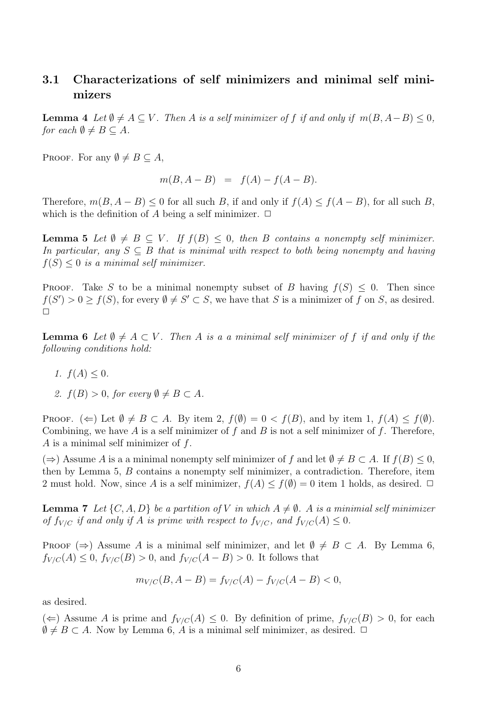## 3.1 Characterizations of self minimizers and minimal self minimizers

**Lemma 4** Let  $\emptyset \neq A \subseteq V$ . Then A is a self minimizer of f if and only if  $m(B, A-B) \leq 0$ , for each  $\emptyset \neq B \subseteq A$ .

PROOF. For any  $\emptyset \neq B \subseteq A$ ,

$$
m(B, A - B) = f(A) - f(A - B).
$$

Therefore,  $m(B, A - B) \leq 0$  for all such B, if and only if  $f(A) \leq f(A - B)$ , for all such B, which is the definition of A being a self minimizer.  $\Box$ 

**Lemma 5** Let  $\emptyset \neq B \subseteq V$ . If  $f(B) \leq 0$ , then B contains a nonempty self minimizer. In particular, any  $S \subseteq B$  that is minimal with respect to both being nonempty and having  $f(S) \leq 0$  is a minimal self minimizer.

**PROOF.** Take S to be a minimal nonempty subset of B having  $f(S) \leq 0$ . Then since  $f(S') > 0 \ge f(S)$ , for every  $\emptyset \ne S' \subset S$ , we have that S is a minimizer of f on S, as desired.  $\Box$ 

**Lemma 6** Let  $\emptyset \neq A \subset V$ . Then A is a a minimal self minimizer of f if and only if the following conditions hold:

- 1.  $f(A) < 0$ .
- 2.  $f(B) > 0$ , for every  $\emptyset \neq B \subset A$ .

PROOF. ( $\Leftarrow$ ) Let  $\emptyset \neq B \subset A$ . By item 2,  $f(\emptyset) = 0 < f(B)$ , and by item 1,  $f(A) \leq f(\emptyset)$ . Combining, we have A is a self minimizer of f and B is not a self minimizer of f. Therefore, A is a minimal self minimizer of  $f$ .

 $(\Rightarrow)$  Assume A is a a minimal nonempty self minimizer of f and let  $\emptyset \neq B \subset A$ . If  $f(B) \leq 0$ , then by Lemma 5, B contains a nonempty self minimizer, a contradiction. Therefore, item 2 must hold. Now, since A is a self minimizer,  $f(A) \leq f(\emptyset) = 0$  item 1 holds, as desired.  $\Box$ 

**Lemma 7** Let  $\{C, A, D\}$  be a partition of V in which  $A \neq \emptyset$ . A is a minimial self minimizer of  $f_{V/C}$  if and only if A is prime with respect to  $f_{V/C}$ , and  $f_{V/C}(A) \leq 0$ .

PROOF  $(\Rightarrow)$  Assume A is a minimal self minimizer, and let  $\emptyset \neq B \subset A$ . By Lemma 6,  $f_{V/C}(A) \leq 0$ ,  $f_{V/C}(B) > 0$ , and  $f_{V/C}(A - B) > 0$ . It follows that

$$
m_{V/C}(B, A - B) = f_{V/C}(A) - f_{V/C}(A - B) < 0,
$$

as desired.

(←) Assume A is prime and  $f_{V/C}(A) \leq 0$ . By definition of prime,  $f_{V/C}(B) > 0$ , for each  $\emptyset \neq B \subset A$ . Now by Lemma 6, A is a minimal self minimizer, as desired.  $\Box$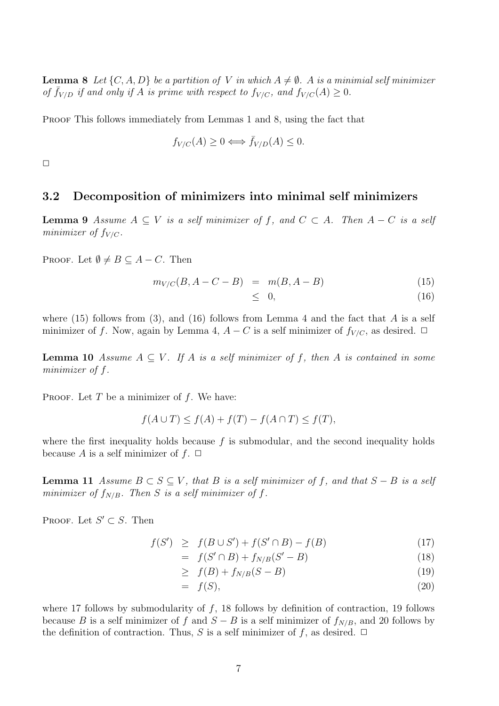**Lemma 8** Let  $\{C, A, D\}$  be a partition of V in which  $A \neq \emptyset$ . A is a minimial self minimizer of  $\bar{f}_{V/D}$  if and only if A is prime with respect to  $f_{V/C}$ , and  $f_{V/C}(A) \geq 0$ .

PROOF This follows immediately from Lemmas 1 and 8, using the fact that

$$
f_{V/C}(A) \ge 0 \Longleftrightarrow \bar{f}_{V/D}(A) \le 0.
$$

 $\Box$ 

### 3.2 Decomposition of minimizers into minimal self minimizers

**Lemma 9** Assume  $A \subseteq V$  is a self minimizer of f, and  $C \subset A$ . Then  $A - C$  is a self minimizer of  $f_{V/C}$ .

PROOF. Let  $\emptyset \neq B \subseteq A - C$ . Then

$$
m_{V/C}(B, A - C - B) = m(B, A - B)
$$
\n(15)

$$
\leq 0, \tag{16}
$$

where (15) follows from (3), and (16) follows from Lemma 4 and the fact that  $A$  is a self minimizer of f. Now, again by Lemma 4,  $A - C$  is a self minimizer of  $f_{V/C}$ , as desired.  $\Box$ 

**Lemma 10** Assume  $A \subseteq V$ . If A is a self minimizer of f, then A is contained in some minimizer of f.

PROOF. Let  $T$  be a minimizer of  $f$ . We have:

$$
f(A \cup T) \le f(A) + f(T) - f(A \cap T) \le f(T),
$$

where the first inequality holds because  $f$  is submodular, and the second inequality holds because A is a self minimizer of  $f$ .  $\Box$ 

**Lemma 11** Assume  $B \subset S \subseteq V$ , that B is a self minimizer of f, and that  $S - B$  is a self minimizer of  $f_{N/B}$ . Then S is a self minimizer of f.

PROOF. Let  $S' \subset S$ . Then

$$
f(S') \ge f(B \cup S') + f(S' \cap B) - f(B) \tag{17}
$$

$$
= f(S' \cap B) + f_{N/B}(S' - B) \tag{18}
$$

$$
\geq f(B) + f_{N/B}(S - B) \tag{19}
$$

$$
= f(S), \tag{20}
$$

where 17 follows by submodularity of  $f$ , 18 follows by definition of contraction, 19 follows because B is a self minimizer of f and  $S - B$  is a self minimizer of  $f_{N/B}$ , and 20 follows by the definition of contraction. Thus, S is a self minimizer of f, as desired.  $\Box$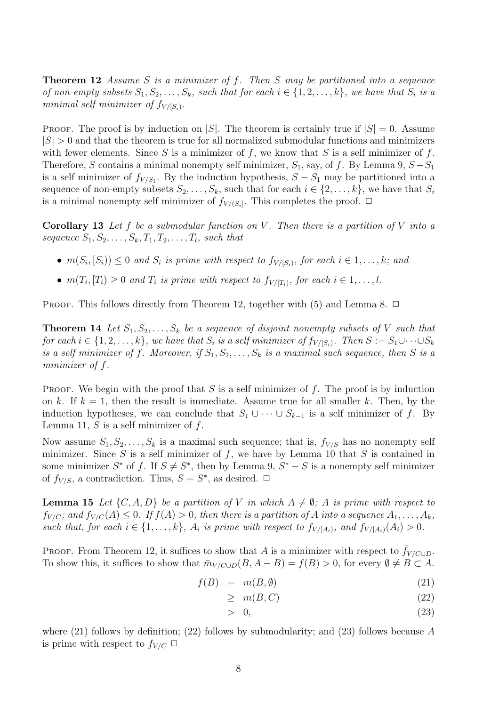**Theorem 12** Assume S is a minimizer of f. Then S may be partitioned into a sequence of non-empty subsets  $S_1, S_2, \ldots, S_k$ , such that for each  $i \in \{1, 2, \ldots, k\}$ , we have that  $S_i$  is a minimal self minimizer of  $f_{V/[S_i)}$ .

PROOF. The proof is by induction on |S|. The theorem is certainly true if  $|S| = 0$ . Assume  $|S| > 0$  and that the theorem is true for all normalized submodular functions and minimizers with fewer elements. Since S is a minimizer of f, we know that S is a self minimizer of f. Therefore, S contains a minimal nonempty self minimizer,  $S_1$ , say, of f. By Lemma 9,  $S - S_1$ is a self minimizer of  $f_{V/S_1}$ . By the induction hypothesis,  $S - S_1$  may be partitioned into a sequence of non-empty subsets  $S_2, \ldots, S_k$ , such that for each  $i \in \{2, \ldots, k\}$ , we have that  $S_i$ is a minimal nonempty self minimizer of  $f_{V/(S_i)}$ . This completes the proof.  $\Box$ 

**Corollary 13** Let f be a submodular function on V. Then there is a partition of V into a sequence  $S_1, S_2, \ldots, S_k, T_1, T_2, \ldots, T_l$ , such that

- $m(S_i, [S_i)) \leq 0$  and  $S_i$  is prime with respect to  $f_{V/[S_i)}$ , for each  $i \in 1, \ldots, k$ ; and
- $m(T_i, [T_i] \geq 0$  and  $T_i$  is prime with respect to  $f_{V/[T_i]}$ , for each  $i \in 1, \ldots, l$ .

PROOF. This follows directly from Theorem 12, together with  $(5)$  and Lemma 8.  $\Box$ 

**Theorem 14** Let  $S_1, S_2, \ldots, S_k$  be a sequence of disjoint nonempty subsets of V such that for each  $i \in \{1,2,\ldots,k\}$ , we have that  $S_i$  is a self minimizer of  $f_{V/[S_i)}$ . Then  $S := S_1 \cup \cdots \cup S_k$ is a self minimizer of f. Moreover, if  $S_1, S_2, \ldots, S_k$  is a maximal such sequence, then S is a minimizer of f.

PROOF. We begin with the proof that  $S$  is a self minimizer of  $f$ . The proof is by induction on k. If  $k = 1$ , then the result is immediate. Assume true for all smaller k. Then, by the induction hypotheses, we can conclude that  $S_1 \cup \cdots \cup S_{k-1}$  is a self minimizer of f. By Lemma 11,  $S$  is a self minimizer of  $f$ .

Now assume  $S_1, S_2, \ldots, S_k$  is a maximal such sequence; that is,  $f_{V/S}$  has no nonempty self minimizer. Since S is a self minimizer of f, we have by Lemma 10 that S is contained in some minimizer  $S^*$  of f. If  $S \neq S^*$ , then by Lemma 9,  $S^* - S$  is a nonempty self minimizer of  $f_{V/S}$ , a contradiction. Thus,  $S = S^*$ , as desired.  $\Box$ 

**Lemma 15** Let  $\{C, A, D\}$  be a partition of V in which  $A \neq \emptyset$ ; A is prime with respect to  $f_{V/C}$ ; and  $f_{V/C}(A) \leq 0$ . If  $f(A) > 0$ , then there is a partition of A into a sequence  $A_1, \ldots, A_k$ , such that, for each  $i \in \{1, \ldots, k\}$ ,  $A_i$  is prime with respect to  $f_{V/[A_i]}$ , and  $f_{V/[A_i]}(A_i) > 0$ .

PROOF. From Theorem 12, it suffices to show that A is a minimizer with respect to  $\bar{f}_{V/C\cup D}$ . To show this, it suffices to show that  $\bar{m}_{V/C\cup D}(B, A - B) = f(B) > 0$ , for every  $\emptyset \neq B \subset A$ .

$$
f(B) = m(B, \emptyset) \tag{21}
$$

$$
\geq m(B, C) \tag{22}
$$

$$
> 0, \tag{23}
$$

where  $(21)$  follows by definition;  $(22)$  follows by submodularity; and  $(23)$  follows because A is prime with respect to  $f_{V/C} \Box$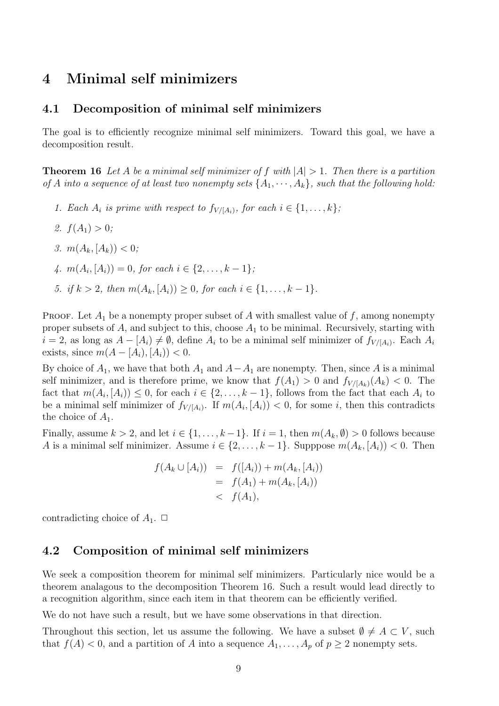## 4 Minimal self minimizers

### 4.1 Decomposition of minimal self minimizers

The goal is to efficiently recognize minimal self minimizers. Toward this goal, we have a decomposition result.

**Theorem 16** Let A be a minimal self minimizer of f with  $|A| > 1$ . Then there is a partition of A into a sequence of at least two nonempty sets  $\{A_1, \dots, A_k\}$ , such that the following hold:

- 1. Each  $A_i$  is prime with respect to  $f_{V/[A_i)}$ , for each  $i \in \{1, \ldots, k\}$ ;
- 2.  $f(A_1) > 0$ ;
- 3.  $m(A_k, [A_k)) < 0$ ;
- 4.  $m(A_i, [A_i)) = 0$ , for each  $i \in \{2, ..., k-1\}$ ;
- 5. if  $k > 2$ , then  $m(A_k, [A_i]) \geq 0$ , for each  $i \in \{1, \ldots, k-1\}$ .

PROOF. Let  $A_1$  be a nonempty proper subset of A with smallest value of f, among nonempty proper subsets of  $A$ , and subject to this, choose  $A_1$  to be minimal. Recursively, starting with  $i = 2$ , as long as  $A - [A_i] \neq \emptyset$ , define  $A_i$  to be a minimal self minimizer of  $f_{V/[A_i)}$ . Each  $A_i$ exists, since  $m(A - [A_i], [A_i]) < 0$ .

By choice of  $A_1$ , we have that both  $A_1$  and  $A-A_1$  are nonempty. Then, since A is a minimal self minimizer, and is therefore prime, we know that  $f(A_1) > 0$  and  $f_{V/(A_k)}(A_k) < 0$ . The fact that  $m(A_i, [A_i)) \leq 0$ , for each  $i \in \{2, ..., k-1\}$ , follows from the fact that each  $A_i$  to be a minimal self minimizer of  $f_{V/(A_i)}$ . If  $m(A_i, [A_i)) < 0$ , for some *i*, then this contradicts the choice of  $A_1$ .

Finally, assume  $k > 2$ , and let  $i \in \{1, ..., k-1\}$ . If  $i = 1$ , then  $m(A_k, \emptyset) > 0$  follows because A is a minimal self minimizer. Assume  $i \in \{2, \ldots, k-1\}$ . Supppose  $m(A_k, [A_i)) < 0$ . Then

$$
f(A_k \cup [A_i)) = f([A_i)) + m(A_k, [A_i))
$$
  
=  $f(A_1) + m(A_k, [A_i))$   
<  $f(A_1),$ 

contradicting choice of  $A_1$ .  $\Box$ 

#### 4.2 Composition of minimal self minimizers

We seek a composition theorem for minimal self minimizers. Particularly nice would be a theorem analagous to the decomposition Theorem 16. Such a result would lead directly to a recognition algorithm, since each item in that theorem can be efficiently verified.

We do not have such a result, but we have some observations in that direction.

Throughout this section, let us assume the following. We have a subset  $\emptyset \neq A \subset V$ , such that  $f(A) < 0$ , and a partition of A into a sequence  $A_1, \ldots, A_p$  of  $p \ge 2$  nonempty sets.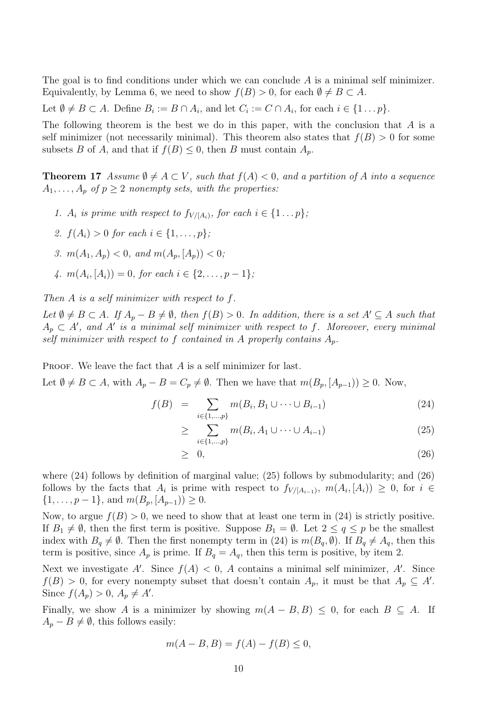The goal is to find conditions under which we can conclude  $A$  is a minimal self minimizer. Equivalently, by Lemma 6, we need to show  $f(B) > 0$ , for each  $\emptyset \neq B \subset A$ .

Let  $\emptyset \neq B \subset A$ . Define  $B_i := B \cap A_i$ , and let  $C_i := C \cap A_i$ , for each  $i \in \{1 \dots p\}$ .

The following theorem is the best we do in this paper, with the conclusion that  $A$  is a self minimizer (not necessarily minimal). This theorem also states that  $f(B) > 0$  for some subsets B of A, and that if  $f(B) \leq 0$ , then B must contain  $A_p$ .

**Theorem 17** Assume  $\emptyset \neq A \subset V$ , such that  $f(A) < 0$ , and a partition of A into a sequence  $A_1, \ldots, A_p$  of  $p \geq 2$  nonempty sets, with the properties:

- 1.  $A_i$  is prime with respect to  $f_{V/(A_i)}$ , for each  $i \in \{1 \dots p\}$ ;
- 2.  $f(A_i) > 0$  for each  $i \in \{1, ..., p\}$ ;
- 3.  $m(A_1, A_n) < 0$ , and  $m(A_n, [A_n]) < 0$ ;
- 4.  $m(A_i, [A_i)) = 0$ , for each  $i \in \{2, ..., p-1\}$ ;

Then A is a self minimizer with respect to f.

Let  $\emptyset \neq B \subset A$ . If  $A_p - B \neq \emptyset$ , then  $f(B) > 0$ . In addition, there is a set  $A' \subseteq A$  such that  $A_p \subset A'$ , and A' is a minimal self minimizer with respect to f. Moreover, every minimal self minimizer with respect to f contained in A properly contains  $A_p$ .

PROOF. We leave the fact that  $A$  is a self minimizer for last.

Let  $\emptyset \neq B \subset A$ , with  $A_p - B = C_p \neq \emptyset$ . Then we have that  $m(B_p, [A_{p-1})] \geq 0$ . Now,

$$
f(B) = \sum_{i \in \{1, ..., p\}} m(B_i, B_1 \cup \dots \cup B_{i-1})
$$
 (24)

$$
\geq \sum_{i \in \{1, ..., p\}}^{\infty} m(B_i, A_1 \cup \dots \cup A_{i-1}) \tag{25}
$$

$$
\geq 0, \tag{26}
$$

where (24) follows by definition of marginal value; (25) follows by submodularity; and (26) follows by the facts that  $A_i$  is prime with respect to  $f_{V/[A_{i-1})}$ ,  $m(A_i,[A_i]) \geq 0$ , for  $i \in$  $\{1,\ldots,p-1\}$ , and  $m(B_p,[A_{p-1}))\geq 0$ .

Now, to argue  $f(B) > 0$ , we need to show that at least one term in (24) is strictly positive. If  $B_1 \neq \emptyset$ , then the first term is positive. Suppose  $B_1 = \emptyset$ . Let  $2 \leq q \leq p$  be the smallest index with  $B_q \neq \emptyset$ . Then the first nonempty term in (24) is  $m(B_q, \emptyset)$ . If  $B_q \neq A_q$ , then this term is positive, since  $A_p$  is prime. If  $B_q = A_q$ , then this term is positive, by item 2.

Next we investigate A'. Since  $f(A) < 0$ , A contains a minimal self minimizer, A'. Since  $f(B) > 0$ , for every nonempty subset that doesn't contain  $A_p$ , it must be that  $A_p \subseteq A'$ . Since  $f(A_p) > 0$ ,  $A_p \neq A'$ .

Finally, we show A is a minimizer by showing  $m(A - B, B) \leq 0$ , for each  $B \subseteq A$ . If  $A_p - B \neq \emptyset$ , this follows easily:

$$
m(A - B, B) = f(A) - f(B) \le 0,
$$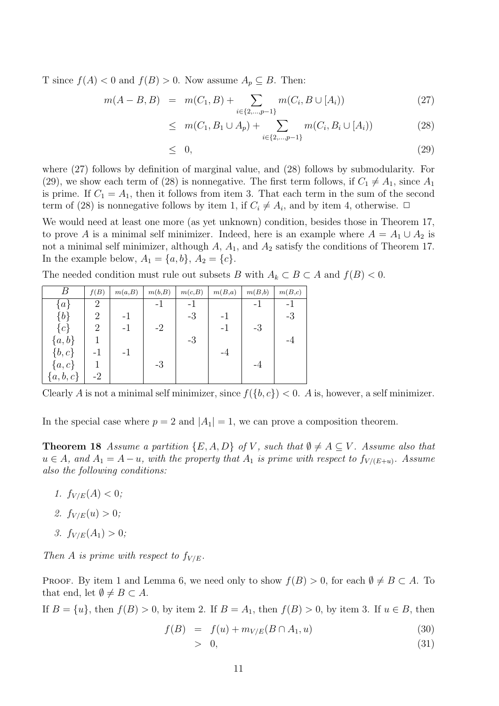T since  $f(A) < 0$  and  $f(B) > 0$ . Now assume  $A_p \subseteq B$ . Then:

$$
m(A - B, B) = m(C_1, B) + \sum_{i \in \{2, \dots, p-1\}} m(C_i, B \cup [A_i))
$$
\n(27)

$$
\leq m(C_1, B_1 \cup A_p) + \sum_{i \in \{2, \dots, p-1\}} m(C_i, B_i \cup [A_i)) \tag{28}
$$

$$
\leq 0, \tag{29}
$$

where (27) follows by definition of marginal value, and (28) follows by submodularity. For (29), we show each term of (28) is nonnegative. The first term follows, if  $C_1 \neq A_1$ , since  $A_1$ is prime. If  $C_1 = A_1$ , then it follows from item 3. That each term in the sum of the second term of (28) is nonnegative follows by item 1, if  $C_i \neq A_i$ , and by item 4, otherwise.  $\Box$ 

We would need at least one more (as yet unknown) condition, besides those in Theorem 17, to prove A is a minimal self minimizer. Indeed, here is an example where  $A = A_1 \cup A_2$  is not a minimal self minimizer, although  $A$ ,  $A_1$ , and  $A_2$  satisfy the conditions of Theorem 17. In the example below,  $A_1 = \{a, b\}, A_2 = \{c\}.$ 

The needed condition must rule out subsets B with  $A_k \subset B \subset A$  and  $f(B) < 0$ .

|            | f(B)           | m(a,B) | m(b,B) | m(c,B) | m(B,a) | m(B,b) | m(B,c) |
|------------|----------------|--------|--------|--------|--------|--------|--------|
| $\{a\}$    | 2              |        | - 1    | $-1$   |        | - 1    | - 1    |
| ${b}$      | 2              | $-1$   |        | $-3$   | $-1$   |        | $-3$   |
| ${c}$      | $\overline{2}$ | $-1$   | $-2$   |        | $-1$   | $-3$   |        |
| $\{a,b\}$  |                |        |        | $-3$   |        |        | -4     |
| $\{b, c\}$ |                | $-1$   |        |        | -4     |        |        |
| $\{a,c\}$  |                |        | $-3$   |        |        | -4     |        |
| ${a,b,c}$  | $-2$           |        |        |        |        |        |        |

Clearly A is not a minimal self minimizer, since  $f({b, c}) < 0$ . A is, however, a self minimizer.

In the special case where  $p = 2$  and  $|A_1| = 1$ , we can prove a composition theorem.

**Theorem 18** Assume a partition  $\{E, A, D\}$  of V, such that  $\emptyset \neq A \subseteq V$ . Assume also that  $u \in A$ , and  $A_1 = A - u$ , with the property that  $A_1$  is prime with respect to  $f_{V/(E+u)}$ . Assume also the following conditions:

- 1.  $f_{V/E}(A) < 0$ ;
- 2.  $f_{V/E}(u) > 0$ ;
- 3.  $f_{V/E}(A_1) > 0$ ;

Then A is prime with respect to  $f_{V/E}$ .

PROOF. By item 1 and Lemma 6, we need only to show  $f(B) > 0$ , for each  $\emptyset \neq B \subset A$ . To that end, let  $\emptyset \neq B \subset A$ .

If  $B = \{u\}$ , then  $f(B) > 0$ , by item 2. If  $B = A_1$ , then  $f(B) > 0$ , by item 3. If  $u \in B$ , then

$$
f(B) = f(u) + m_{V/E}(B \cap A_1, u)
$$
\n(30)

$$
> 0, \tag{31}
$$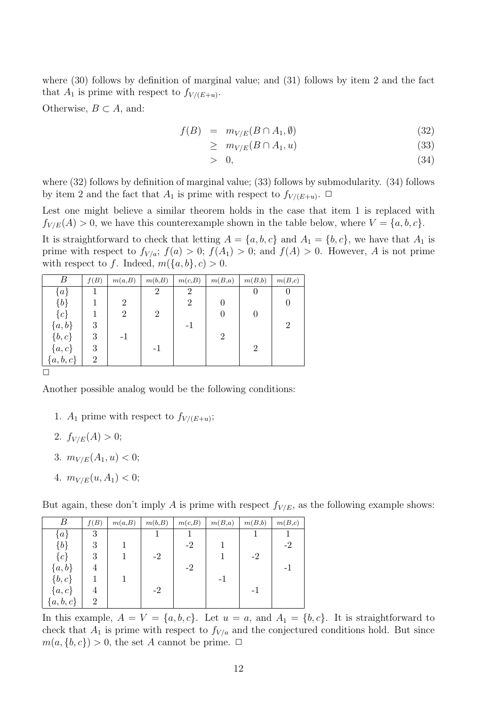where (30) follows by definition of marginal value; and (31) follows by item 2 and the fact that  $A_1$  is prime with respect to  $f_{V/(E+u)}$ .

Otherwise,  $B \subset A$ , and:

$$
f(B) = m_{V/E}(B \cap A_1, \emptyset) \tag{32}
$$

$$
\geq \quad m_{V/E}(B \cap A_1, u) \tag{33}
$$

$$
> 0, \tag{34}
$$

where  $(32)$  follows by definition of marginal value;  $(33)$  follows by submodularity.  $(34)$  follows by item 2 and the fact that  $A_1$  is prime with respect to  $f_{V/(E+u)}$ .  $\Box$ 

Lest one might believe a similar theorem holds in the case that item 1 is replaced with  $f_{V/E}(A) > 0$ , we have this counterexample shown in the table below, where  $V = \{a, b, c\}$ .

It is straightforward to check that letting  $A = \{a, b, c\}$  and  $A_1 = \{b, c\}$ , we have that  $A_1$  is prime with respect to  $f_{V/a}$ ;  $f(a) > 0$ ;  $f(A_1) > 0$ ; and  $f(A) > 0$ . However, A is not prime with respect to f. Indeed,  $m({a,b}, c) > 0$ .

| B             | f(B) | m(a,B)         | m(b,B)         | m(c,B)         | m(B,a)         | m(B,b)         | m(B,c)         |
|---------------|------|----------------|----------------|----------------|----------------|----------------|----------------|
| $\{a\}$       |      |                |                | 2              |                | U              |                |
| ${b}$         |      | $\overline{2}$ |                | $\overline{2}$ |                |                |                |
| $\{c\}$       |      | 2              | $\overline{2}$ |                |                |                |                |
| ${a,b}$       | 3    |                |                | -1             |                |                | $\overline{2}$ |
| $\{b,c\}$     | 3    | $-1$           |                |                | $\overline{2}$ |                |                |
| $\{a,c\}$     | 3    |                | -1             |                |                | $\overline{2}$ |                |
| $\{a, b, c\}$ | 2    |                |                |                |                |                |                |

 $\Box$ 

Another possible analog would be the following conditions:

- 1.  $A_1$  prime with respect to  $f_{V/(E+u)}$ ;
- 2.  $f_{V/E}(A) > 0$ ;
- 3.  $m_{V/E}(A_1, u) < 0;$
- 4.  $m_{V/E}(u, A_1) < 0;$

But again, these don't imply A is prime with respect  $f_{V/E}$ , as the following example shows:

| Β         | f(B)           | m(a,B) | m(b,B) | m(c,B) | m(B,a) | m(B,b) | m(B,c) |
|-----------|----------------|--------|--------|--------|--------|--------|--------|
| $\{a\}$   | 3              |        |        |        |        |        |        |
| ${b}$     | 3              |        |        | $-2$   |        |        | $-2$   |
| $\{c\}$   | 3              |        | $-2$   |        |        | $-2$   |        |
| ${a,b}$   | 4              |        |        | $-2$   |        |        |        |
| $\{b,c\}$ |                |        |        |        | $-1$   |        |        |
| $\{a,c\}$ | 4              |        | $-2$   |        |        | $-1$   |        |
| ${a,b,c}$ | $\overline{2}$ |        |        |        |        |        |        |

In this example,  $A = V = \{a, b, c\}$ . Let  $u = a$ , and  $A_1 = \{b, c\}$ . It is straightforward to check that  $A_1$  is prime with respect to  $f_{V/a}$  and the conjectured conditions hold. But since  $m(a, \{b, c\}) > 0$ , the set A cannot be prime.  $\Box$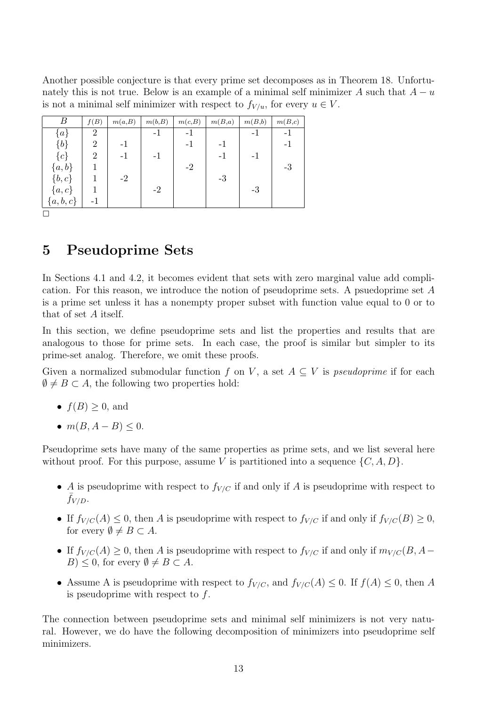Another possible conjecture is that every prime set decomposes as in Theorem 18. Unfortunately this is not true. Below is an example of a minimal self minimizer A such that  $A - u$ is not a minimal self minimizer with respect to  $f_{V/u}$ , for every  $u \in V$ .

| В           | f(B)           | m(a,B) | m(b,B) | m(c,B) | m(B,a) | m(B,b) | m(B,c) |
|-------------|----------------|--------|--------|--------|--------|--------|--------|
| $\{a\}$     | $\overline{2}$ |        | -1     | -1     |        | -1     | - 1    |
| ${b}$       | 2              | $-1$   |        | $-1$   | -1     |        | - 1    |
| $\{c\}$     | 2              | - 1    | -1     |        | $-1$   | – I    |        |
| $\{a,b\}$   |                |        |        | $-2$   |        |        | $-3$   |
| $\{b,c\}$   |                | $-2$   |        |        | $-3$   |        |        |
| $\{a,c\}$   |                |        | -2     |        |        | -3     |        |
| $\{a,b,c\}$ | - 1            |        |        |        |        |        |        |

 $\Box$ 

# 5 Pseudoprime Sets

In Sections 4.1 and 4.2, it becomes evident that sets with zero marginal value add complication. For this reason, we introduce the notion of pseudoprime sets. A psuedoprime set A is a prime set unless it has a nonempty proper subset with function value equal to 0 or to that of set A itself.

In this section, we define pseudoprime sets and list the properties and results that are analogous to those for prime sets. In each case, the proof is similar but simpler to its prime-set analog. Therefore, we omit these proofs.

Given a normalized submodular function f on V, a set  $A \subseteq V$  is pseudoprime if for each  $\emptyset \neq B \subset A$ , the following two properties hold:

- $f(B) \geq 0$ , and
- $m(B, A B) \leq 0$ .

Pseudoprime sets have many of the same properties as prime sets, and we list several here without proof. For this purpose, assume V is partitioned into a sequence  $\{C, A, D\}$ .

- A is pseudoprime with respect to  $f_{V/C}$  if and only if A is pseudoprime with respect to  $f_{V/D}$ .
- If  $f_{V/C}(A) \leq 0$ , then A is pseudoprime with respect to  $f_{V/C}$  if and only if  $f_{V/C}(B) \geq 0$ , for every  $\emptyset \neq B \subset A$ .
- If  $f_{V/C}(A) \geq 0$ , then A is pseudoprime with respect to  $f_{V/C}$  if and only if  $m_{V/C}(B, A B) \leq 0$ , for every  $\emptyset \neq B \subset A$ .
- Assume A is pseudoprime with respect to  $f_{V/C}$ , and  $f_{V/C}(A) \leq 0$ . If  $f(A) \leq 0$ , then A is pseudoprime with respect to  $f$ .

The connection between pseudoprime sets and minimal self minimizers is not very natural. However, we do have the following decomposition of minimizers into pseudoprime self minimizers.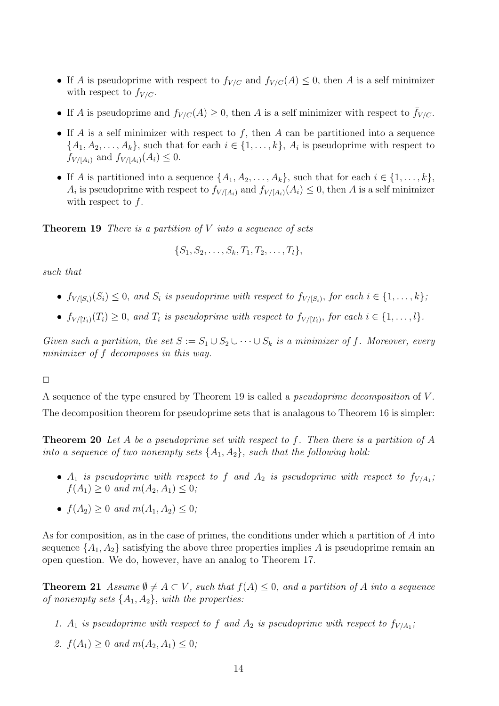- If A is pseudoprime with respect to  $f_{V/C}$  and  $f_{V/C}(A) \leq 0$ , then A is a self minimizer with respect to  $f_{V/C}$ .
- If A is pseudoprime and  $f_{V/C}(A) \geq 0$ , then A is a self minimizer with respect to  $\bar{f}_{V/C}$ .
- If A is a self minimizer with respect to f, then A can be partitioned into a sequence  $\{A_1, A_2, \ldots, A_k\}$ , such that for each  $i \in \{1, \ldots, k\}$ ,  $A_i$  is pseudoprime with respect to  $f_{V/[A_i]}$  and  $f_{V/[A_i]}(A_i) \leq 0$ .
- If A is partitioned into a sequence  $\{A_1, A_2, \ldots, A_k\}$ , such that for each  $i \in \{1, \ldots, k\}$ ,  $A_i$  is pseudoprime with respect to  $f_{V/[A_i]}$  and  $f_{V/[A_i]}(A_i) \leq 0$ , then A is a self minimizer with respect to  $f$ .

**Theorem 19** There is a partition of  $V$  into a sequence of sets

$$
\{S_1, S_2, \ldots, S_k, T_1, T_2, \ldots, T_l\},\
$$

such that

- $f_{V/[S_i)}(S_i) \leq 0$ , and  $S_i$  is pseudoprime with respect to  $f_{V/[S_i)}$ , for each  $i \in \{1, \ldots, k\}$ ;
- $f_{V/[T_i)}(T_i) \geq 0$ , and  $T_i$  is pseudoprime with respect to  $f_{V/[T_i)}$ , for each  $i \in \{1, \ldots, l\}$ .

Given such a partition, the set  $S := S_1 \cup S_2 \cup \cdots \cup S_k$  is a minimizer of f. Moreover, every minimizer of f decomposes in this way.

 $\Box$ 

A sequence of the type ensured by Theorem 19 is called a pseudoprime decomposition of V . The decomposition theorem for pseudoprime sets that is analagous to Theorem 16 is simpler:

**Theorem 20** Let A be a pseudoprime set with respect to f. Then there is a partition of A into a sequence of two nonempty sets  $\{A_1, A_2\}$ , such that the following hold:

- $A_1$  is pseudoprime with respect to f and  $A_2$  is pseudoprime with respect to  $f_{V/A_1}$ ;  $f(A_1) \geq 0$  and  $m(A_2, A_1) \leq 0$ ;
- $f(A_2) > 0$  and  $m(A_1, A_2) < 0$ ;

As for composition, as in the case of primes, the conditions under which a partition of A into sequence  $\{A_1, A_2\}$  satisfying the above three properties implies A is pseudoprime remain an open question. We do, however, have an analog to Theorem 17.

**Theorem 21** Assume  $\emptyset \neq A \subset V$ , such that  $f(A) \leq 0$ , and a partition of A into a sequence of nonempty sets  $\{A_1, A_2\}$ , with the properties:

- 1.  $A_1$  is pseudoprime with respect to f and  $A_2$  is pseudoprime with respect to  $f_{V/A_1}$ ;
- 2.  $f(A_1) \geq 0$  and  $m(A_2, A_1) \leq 0$ ;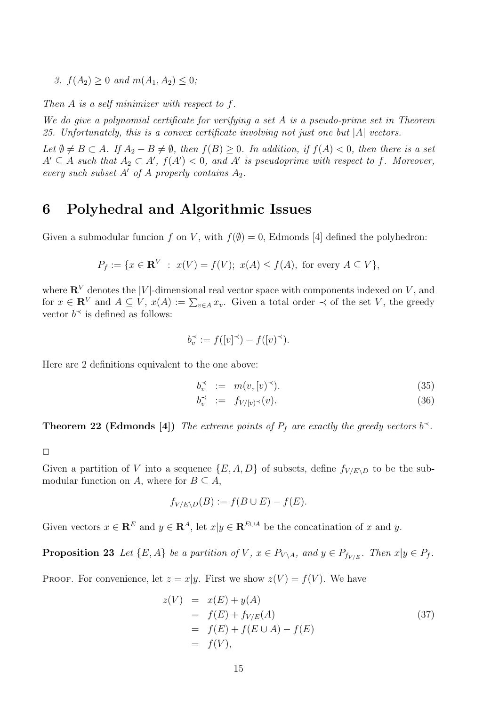3.  $f(A_2) \geq 0$  and  $m(A_1, A_2) \leq 0$ ;

Then  $A$  is a self minimizer with respect to  $f$ .

We do give a polynomial certificate for verifying a set A is a pseudo-prime set in Theorem 25. Unfortunately, this is a convex certificate involving not just one but  $|A|$  vectors.

Let  $\emptyset \neq B \subset A$ . If  $A_2 - B \neq \emptyset$ , then  $f(B) \geq 0$ . In addition, if  $f(A) < 0$ , then there is a set  $A' \subseteq A$  such that  $A_2 \subset A'$ ,  $f(A') < 0$ , and  $A'$  is pseudoprime with respect to f. Moreover, every such subset A' of A properly contains  $A_2$ .

# 6 Polyhedral and Algorithmic Issues

Given a submodular funcion f on V, with  $f(\emptyset) = 0$ , Edmonds [4] defined the polyhedron:

$$
P_f := \{ x \in \mathbf{R}^V : x(V) = f(V); \ x(A) \le f(A), \text{ for every } A \subseteq V \},
$$

where  $\mathbf{R}^V$  denotes the |V|-dimensional real vector space with components indexed on V, and for  $x \in \mathbb{R}^V$  and  $A \subseteq V$ ,  $x(A) := \sum_{v \in A} x_v$ . Given a total order  $\prec$  of the set V, the greedy vector  $b^{\prec}$  is defined as follows:

$$
b_v^\prec := f([v]^\prec) - f([v]^\prec).
$$

Here are 2 definitions equivalent to the one above:

$$
b_v^\prec := m(v, [v)^\prec). \tag{35}
$$

$$
b_v^\prec \ := \ f_{V/[v)}(v). \tag{36}
$$

**Theorem 22 (Edmonds** [4]) The extreme points of  $P_f$  are exactly the greedy vectors  $b^{\prec}$ .

 $\Box$ 

Given a partition of V into a sequence  $\{E, A, D\}$  of subsets, define  $f_{V/E \setminus D}$  to be the submodular function on A, where for  $B \subseteq A$ ,

$$
f_{V/E \backslash D}(B) := f(B \cup E) - f(E).
$$

Given vectors  $x \in \mathbb{R}^E$  and  $y \in \mathbb{R}^A$ , let  $x|y \in \mathbb{R}^{E \cup A}$  be the concatination of x and y.

**Proposition 23** Let  $\{E, A\}$  be a partition of V,  $x \in P_{V \setminus A}$ , and  $y \in P_{f_{V/F}}$ . Then  $x|y \in P_f$ .

PROOF. For convenience, let  $z = x|y$ . First we show  $z(V) = f(V)$ . We have

$$
z(V) = x(E) + y(A)
$$
  
= f(E) + f<sub>V/E</sub>(A)  
= f(E) + f(E \cup A) - f(E)  
= f(V), (37)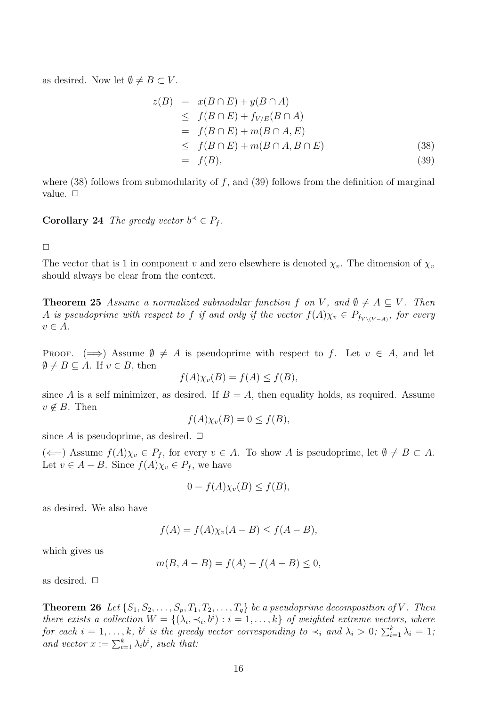as desired. Now let  $\emptyset \neq B \subset V$ .

$$
z(B) = x(B \cap E) + y(B \cap A)
$$
  
\n
$$
\leq f(B \cap E) + f_{V/E}(B \cap A)
$$
  
\n
$$
= f(B \cap E) + m(B \cap A, E)
$$
  
\n
$$
\leq f(B \cap E) + m(B \cap A, B \cap E)
$$
  
\n
$$
= f(B), \tag{39}
$$

where  $(38)$  follows from submodularity of f, and  $(39)$  follows from the definition of marginal value.  $\Box$ 

**Corollary 24** The greedy vector  $b^{\prec} \in P_f$ .

 $\Box$ 

The vector that is 1 in component v and zero elsewhere is denoted  $\chi_v$ . The dimension of  $\chi_v$ should always be clear from the context.

**Theorem 25** Assume a normalized submodular function f on V, and  $\emptyset \neq A \subseteq V$ . Then A is pseudoprime with respect to f if and only if the vector  $f(A)\chi_v \in P_{f_{V\setminus (V-A)}}$ , for every  $v \in A$ .

PROOF.  $(\implies)$  Assume  $\emptyset \neq A$  is pseudoprime with respect to f. Let  $v \in A$ , and let  $\emptyset \neq B \subseteq A$ . If  $v \in B$ , then

$$
f(A)\chi_v(B) = f(A) \le f(B),
$$

since A is a self minimizer, as desired. If  $B = A$ , then equality holds, as required. Assume  $v \notin B$ . Then

$$
f(A)\chi_v(B) = 0 \le f(B),
$$

since A is pseudoprime, as desired.  $\Box$ 

 $(\Leftarrow)$  Assume  $f(A)\chi_v \in P_f$ , for every  $v \in A$ . To show A is pseudoprime, let  $\emptyset \neq B \subset A$ . Let  $v \in A - B$ . Since  $f(A)\chi_v \in P_f$ , we have

$$
0 = f(A)\chi_v(B) \le f(B),
$$

as desired. We also have

$$
f(A) = f(A)\chi_v(A - B) \le f(A - B),
$$

which gives us

$$
m(B, A - B) = f(A) - f(A - B) \le 0,
$$

as desired.  $\Box$ 

**Theorem 26** Let  $\{S_1, S_2, \ldots, S_p, T_1, T_2, \ldots, T_q\}$  be a pseudoprime decomposition of V. Then there exists a collection  $W = \{(\lambda_i, \prec_i, b^i) : i = 1, \ldots, k\}$  of weighted extreme vectors, where for each  $i = 1, ..., k$ , b<sup>i</sup> is the greedy vector corresponding to  $\prec_i$  and  $\lambda_i > 0$ ;  $\sum_{i=1}^k \lambda_i = 1$ ; and vector  $x := \sum_{i=1}^k \lambda_i b^i$ , such that: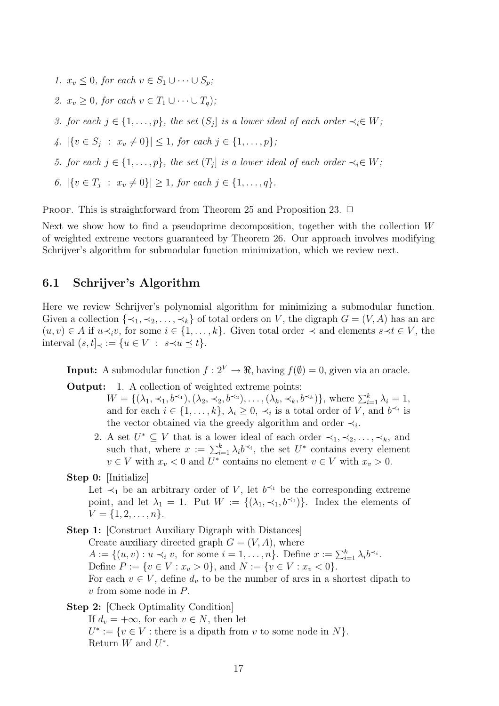1.  $x_v \leq 0$ , for each  $v \in S_1 \cup \cdots \cup S_n$ ; 2.  $x_v > 0$ , for each  $v \in T_1 \cup \cdots \cup T_n$ ); 3. for each  $j \in \{1, \ldots, p\}$ , the set  $(S_j]$  is a lower ideal of each order  $\prec_i \in W$ ; 4.  $|\{v \in S_j : x_v \neq 0\}| \leq 1$ , for each  $j \in \{1, ..., p\}$ ; 5. for each  $j \in \{1, \ldots, p\}$ , the set  $(T_j]$  is a lower ideal of each order  $\prec_i \in W$ ; 6.  $|\{v \in T_j : x_v \neq 0\}| \geq 1$ , for each  $j \in \{1, ..., q\}$ .

PROOF. This is straightforward from Theorem 25 and Proposition 23.  $\Box$ 

Next we show how to find a pseudoprime decomposition, together with the collection W of weighted extreme vectors guaranteed by Theorem 26. Our approach involves modifying Schrijver's algorithm for submodular function minimization, which we review next.

## 6.1 Schrijver's Algorithm

Here we review Schrijver's polynomial algorithm for minimizing a submodular function. Given a collection  $\{\prec_1, \prec_2, \ldots, \prec_k\}$  of total orders on V, the digraph  $G = (V, A)$  has an arc  $(u, v) \in A$  if  $u \prec_i v$ , for some  $i \in \{1, \ldots, k\}$ . Given total order  $\prec$  and elements  $s \prec t \in V$ , the interval  $(s, t]_{\prec} := \{u \in V : s \prec u \preceq t\}.$ 

**Input:** A submodular function  $f: 2^V \to \mathbb{R}$ , having  $f(\emptyset) = 0$ , given via an oracle.

Output: 1. A collection of weighted extreme points:

 $W = \{(\lambda_1, \prec_1, b^{\prec_1}), (\lambda_2, \prec_2, b^{\prec_2}), \ldots, (\lambda_k, \prec_k, b^{\prec_k})\}, \text{ where } \sum_{i=1}^k \lambda_i = 1,$ and for each  $i \in \{1, \ldots, k\}, \lambda_i \geq 0, \prec_i$  is a total order of V, and  $b^{\prec_i}$  is the vector obtained via the greedy algorithm and order  $\prec_i$ .

- 2. A set  $U^* \subseteq V$  that is a lower ideal of each order  $\prec_1, \prec_2, \ldots, \prec_k$ , and such that, where  $x := \sum_{i=1}^{k} \lambda_i b^{\prec_i}$ , the set  $U^*$  contains every element  $v \in V$  with  $x_v < 0$  and  $U^*$  contains no element  $v \in V$  with  $x_v > 0$ .
- Step 0: [Initialize]

Let  $\prec_1$  be an arbitrary order of V, let  $b^{\prec_1}$  be the corresponding extreme point, and let  $\lambda_1 = 1$ . Put  $W := \{(\lambda_1, \lambda_1, b^{\lambda_1})\}$ . Index the elements of  $V = \{1, 2, \ldots, n\}.$ 

- Step 1: [Construct Auxiliary Digraph with Distances] Create auxiliary directed graph  $G = (V, A)$ , where  $A := \{(u, v) : u \prec_i v, \text{ for some } i = 1, \ldots, n\}.$  Define  $x := \sum_{i=1}^k \lambda_i b^{\prec_i}.$ Define  $P := \{v \in V : x_v > 0\}$ , and  $N := \{v \in V : x_v < 0\}$ . For each  $v \in V$ , define  $d_v$  to be the number of arcs in a shortest dipath to  $v$  from some node in  $P$ .
- Step 2: [Check Optimality Condition]

If  $d_v = +\infty$ , for each  $v \in N$ , then let  $U^* := \{v \in V : \text{there is a dipath from } v \text{ to some node in } N\}.$ Return  $W$  and  $U^*$ .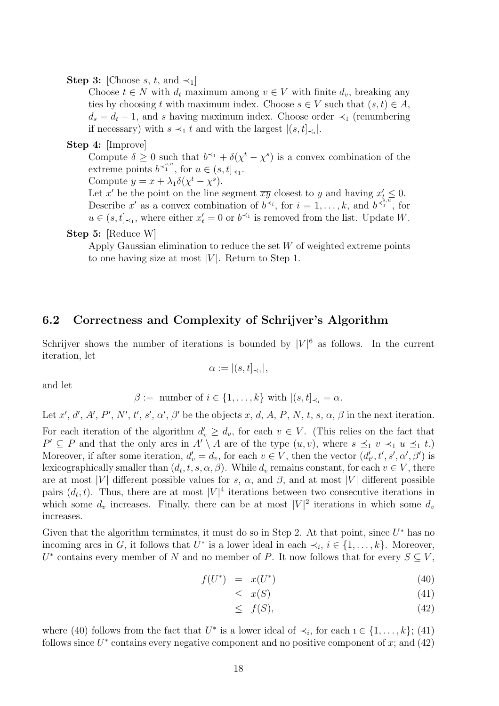#### Step 3: [Choose s, t, and  $\prec_1$ ]

Choose  $t \in N$  with  $d_t$  maximum among  $v \in V$  with finite  $d_v$ , breaking any ties by choosing t with maximum index. Choose  $s \in V$  such that  $(s, t) \in A$ ,  $d_s = d_t - 1$ , and s having maximum index. Choose order  $\prec_1$  (renumbering if necessary) with  $s \prec_1 t$  and with the largest  $|(s, t]_{\prec_i}|$ .

#### Step 4: [Improve]

Compute  $\delta \geq 0$  such that  $b^{\prec_1} + \delta(\chi^t - \chi^s)$  is a convex combination of the extreme points  $b^{\prec_1^{s,u}}$ , for  $u \in (s,t]_{\prec_1}$ .

Compute  $y = x + \lambda_1 \delta(\chi^t - \chi^s)$ .

Let x' be the point on the line segment  $\overline{xy}$  closest to y and having  $x'_{t} \leq 0$ . Describe x' as a convex combination of  $b^{\prec i}$ , for  $i = 1, \ldots, k$ , and  $b^{\prec i, \overline{i}, \overline{i}}$ , for  $u \in (s, t]_{\leq 1}$ , where either  $x'_t = 0$  or  $b^{\leq 1}$  is removed from the list. Update W.

#### Step 5: [Reduce W]

Apply Gaussian elimination to reduce the set  $W$  of weighted extreme points to one having size at most  $|V|$ . Return to Step 1.

### 6.2 Correctness and Complexity of Schrijver's Algorithm

Schrijver shows the number of iterations is bounded by  $|V|^6$  as follows. In the current iteration, let

$$
\alpha := |(s, t]_{\prec_1}|,
$$

and let

$$
\beta := \text{ number of } i \in \{1, \ldots, k\} \text{ with } |(s, t]_{\prec_i} = \alpha.
$$

Let x', d', A', P', N', t', s',  $\alpha'$ ,  $\beta'$  be the objects x, d, A, P, N, t, s,  $\alpha$ ,  $\beta$  in the next iteration.

For each iteration of the algorithm  $d'_v \geq d_v$ , for each  $v \in V$ . (This relies on the fact that  $P' \subseteq P$  and that the only arcs in  $A' \setminus A$  are of the type  $(u, v)$ , where  $s \preceq_1 v \prec_1 u \preceq_1 t$ . Moreover, if after some iteration,  $d'_v = d_v$ , for each  $v \in V$ , then the vector  $(d'_{t'}, t', s', \alpha', \beta')$  is lexicographically smaller than  $(d_t, t, s, \alpha, \beta)$ . While  $d_v$  remains constant, for each  $v \in V$ , there are at most |V| different possible values for s,  $\alpha$ , and  $\beta$ , and at most |V| different possible pairs  $(d_t, t)$ . Thus, there are at most  $|V|^4$  iterations between two consecutive iterations in which some  $d_v$  increases. Finally, there can be at most  $|V|^2$  iterations in which some  $d_v$ increases.

Given that the algorithm terminates, it must do so in Step 2. At that point, since  $U^*$  has no incoming arcs in G, it follows that  $U^*$  is a lower ideal in each  $\prec_i, i \in \{1, \ldots, k\}$ . Moreover,  $U^*$  contains every member of N and no member of P. It now follows that for every  $S \subseteq V$ ,

$$
f(U^*) = x(U^*) \tag{40}
$$

$$
\leq x(S) \tag{41}
$$

$$
\leq f(S),\tag{42}
$$

where (40) follows from the fact that  $U^*$  is a lower ideal of  $\prec_i$ , for each  $i \in \{1, \ldots, k\}$ ; (41) follows since  $U^*$  contains every negative component and no positive component of x; and (42)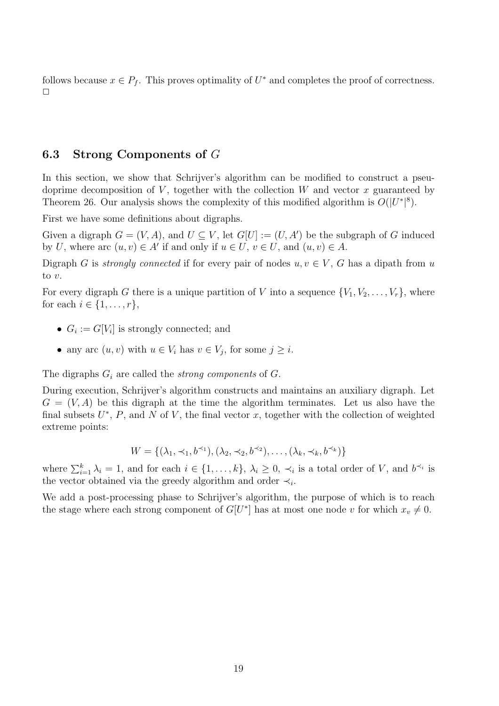follows because  $x \in P_f$ . This proves optimality of  $U^*$  and completes the proof of correctness.  $\Box$ 

### 6.3 Strong Components of G

In this section, we show that Schrijver's algorithm can be modified to construct a pseudoprime decomposition of V, together with the collection W and vector x guaranteed by Theorem 26. Our analysis shows the complexity of this modified algorithm is  $O(|U^*|^8)$ .

First we have some definitions about digraphs.

Given a digraph  $G = (V, A)$ , and  $U \subseteq V$ , let  $G[U] := (U, A')$  be the subgraph of G induced by U, where arc  $(u, v) \in A'$  if and only if  $u \in U$ ,  $v \in U$ , and  $(u, v) \in A$ .

Digraph G is strongly connected if for every pair of nodes  $u, v \in V$ , G has a dipath from u to v.

For every digraph G there is a unique partition of V into a sequence  $\{V_1, V_2, \ldots, V_r\}$ , where for each  $i \in \{1, \ldots, r\},\$ 

- $G_i := G[V_i]$  is strongly connected; and
- any arc  $(u, v)$  with  $u \in V_i$  has  $v \in V_j$ , for some  $j \geq i$ .

The digraphs  $G_i$  are called the *strong components* of  $G$ .

During execution, Schrijver's algorithm constructs and maintains an auxiliary digraph. Let  $G = (V, A)$  be this digraph at the time the algorithm terminates. Let us also have the final subsets  $U^*, P$ , and N of V, the final vector x, together with the collection of weighted extreme points:

$$
W = \{ (\lambda_1, \prec_1, b^{\prec_1}), (\lambda_2, \prec_2, b^{\prec_2}), \dots, (\lambda_k, \prec_k, b^{\prec_k}) \}
$$

where  $\sum_{i=1}^{k} \lambda_i = 1$ , and for each  $i \in \{1, ..., k\}$ ,  $\lambda_i \geq 0$ ,  $\prec_i$  is a total order of V, and  $b^{\prec_i}$  is the vector obtained via the greedy algorithm and order  $\prec_i$ .

We add a post-processing phase to Schrijver's algorithm, the purpose of which is to reach the stage where each strong component of  $G[U^*]$  has at most one node v for which  $x_v \neq 0$ .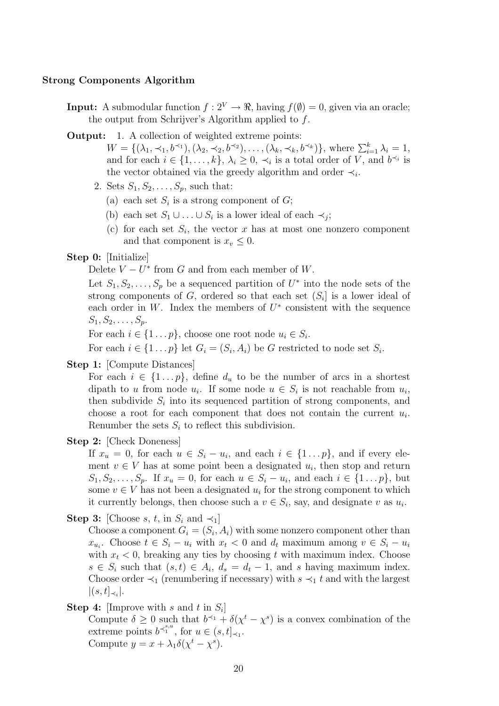#### Strong Components Algorithm

- **Input:** A submodular function  $f: 2^V \to \mathbb{R}$ , having  $f(\emptyset) = 0$ , given via an oracle; the output from Schrijver's Algorithm applied to f.
- Output: 1. A collection of weighted extreme points:

 $W = \{(\lambda_1, \prec_1, b^{\prec_1}), (\lambda_2, \prec_2, b^{\prec_2}), \ldots, (\lambda_k, \prec_k, b^{\prec_k})\}, \text{ where } \sum_{i=1}^k \lambda_i = 1,$ and for each  $i \in \{1, \ldots, k\}, \lambda_i \geq 0, \prec_i$  is a total order of V, and  $b^{\prec_i}$  is the vector obtained via the greedy algorithm and order  $\prec_i$ .

- 2. Sets  $S_1, S_2, \ldots, S_p$ , such that:
	- (a) each set  $S_i$  is a strong component of  $G$ ;
	- (b) each set  $S_1 \cup \ldots \cup S_i$  is a lower ideal of each  $\prec_j$ ;
	- (c) for each set  $S_i$ , the vector x has at most one nonzero component and that component is  $x_v \leq 0$ .
- Step 0: [Initialize]

Delete  $V - U^*$  from G and from each member of W.

Let  $S_1, S_2, \ldots, S_p$  be a sequenced partition of  $U^*$  into the node sets of the strong components of  $G$ , ordered so that each set  $(S_i]$  is a lower ideal of each order in W. Index the members of  $U^*$  consistent with the sequence  $S_1, S_2, \ldots, S_p$ .

For each  $i \in \{1 \dots p\}$ , choose one root node  $u_i \in S_i$ .

For each  $i \in \{1 \dots p\}$  let  $G_i = (S_i, A_i)$  be G restricted to node set  $S_i$ .

Step 1: [Compute Distances]

For each  $i \in \{1 \dots p\}$ , define  $d_u$  to be the number of arcs in a shortest dipath to u from node  $u_i$ . If some node  $u \in S_i$  is not reachable from  $u_i$ , then subdivide  $S_i$  into its sequenced partition of strong components, and choose a root for each component that does not contain the current  $u_i$ . Renumber the sets  $S_i$  to reflect this subdivision.

Step 2: [Check Doneness]

If  $x_u = 0$ , for each  $u \in S_i - u_i$ , and each  $i \in \{1 \dots p\}$ , and if every element  $v \in V$  has at some point been a designated  $u_i$ , then stop and return  $S_1, S_2, \ldots, S_p$ . If  $x_u = 0$ , for each  $u \in S_i - u_i$ , and each  $i \in \{1 \ldots p\}$ , but some  $v \in V$  has not been a designated  $u_i$  for the strong component to which it currently belongs, then choose such a  $v \in S_i$ , say, and designate v as  $u_i$ .

**Step 3:** [Choose s, t, in  $S_i$  and  $\prec_1$ ]

Choose a component  $G_i = (S_i, A_i)$  with some nonzero component other than  $x_{u_i}$ . Choose  $t \in S_i - u_i$  with  $x_t < 0$  and  $d_t$  maximum among  $v \in S_i - u_i$ with  $x_t < 0$ , breaking any ties by choosing t with maximum index. Choose  $s \in S_i$  such that  $(s,t) \in A_i$ ,  $d_s = d_t - 1$ , and s having maximum index. Choose order  $\prec_1$  (renumbering if necessary) with  $s \prec_1 t$  and with the largest  $|(s,t]_{\prec_i}|.$ 

**Step 4:** [Improve with s and t in  $S_i$ ]

Compute  $\delta \geq 0$  such that  $b^{\prec_1} + \delta(\chi^t - \chi^s)$  is a convex combination of the extreme points  $b^{\prec_1^{s,u}}$ , for  $u \in (s,t]_{\prec_1}$ . Compute  $y = x + \lambda_1 \delta(\chi^t - \chi^s)$ .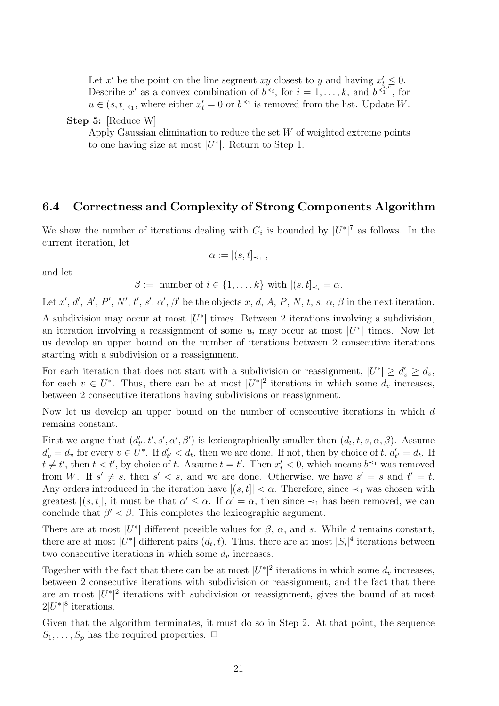Let x' be the point on the line segment  $\overline{xy}$  closest to y and having  $x'_{t} \leq 0$ . Describe x' as a convex combination of  $b^{\prec i}$ , for  $i = 1, \ldots, k$ , and  $b^{\prec i, \overline{i}, \overline{i}}$ , for  $u \in (s, t]_{\leq 1}$ , where either  $x'_t = 0$  or  $b^{\leq 1}$  is removed from the list. Update W.

Step 5: [Reduce W]

Apply Gaussian elimination to reduce the set  $W$  of weighted extreme points to one having size at most  $|U^*|$ . Return to Step 1.

### 6.4 Correctness and Complexity of Strong Components Algorithm

We show the number of iterations dealing with  $G_i$  is bounded by  $|U^*|^7$  as follows. In the current iteration, let

$$
\alpha := |(s, t]_{\prec_1}|,
$$

and let

$$
\beta := \text{ number of } i \in \{1, \ldots, k\} \text{ with } |(s, t]_{\prec_i} = \alpha.
$$

Let x', d', A', P', N', t', s',  $\alpha'$ ,  $\beta'$  be the objects x, d, A, P, N, t, s,  $\alpha$ ,  $\beta$  in the next iteration.

A subdivision may occur at most  $|U^*|$  times. Between 2 iterations involving a subdivision, an iteration involving a reassignment of some  $u_i$  may occur at most  $|U^*|$  times. Now let us develop an upper bound on the number of iterations between 2 consecutive iterations starting with a subdivision or a reassignment.

For each iteration that does not start with a subdivision or reassignment,  $|U^*| \ge d_v' \ge d_v$ , for each  $v \in U^*$ . Thus, there can be at most  $|U^*|^2$  iterations in which some  $d_v$  increases, between 2 consecutive iterations having subdivisions or reassignment.

Now let us develop an upper bound on the number of consecutive iterations in which d remains constant.

First we argue that  $(d'_{t'}, t', s', \alpha', \beta')$  is lexicographically smaller than  $(d_t, t, s, \alpha, \beta)$ . Assume  $d'_v = d_v$  for every  $v \in U^*$ . If  $d'_{t'} < d_t$ , then we are done. If not, then by choice of t,  $d'_{t'} = d_t$ . If  $t \neq t'$ , then  $t < t'$ , by choice of t. Assume  $t = t'$ . Then  $x'_{t} < 0$ , which means  $b^{\prec 1}$  was removed from W. If  $s' \neq s$ , then  $s' < s$ , and we are done. Otherwise, we have  $s' = s$  and  $t' = t$ . Any orders introduced in the iteration have  $|(s, t)| < \alpha$ . Therefore, since  $\prec_1$  was chosen with greatest  $|(s,t]|$ , it must be that  $\alpha' \leq \alpha$ . If  $\alpha' = \alpha$ , then since  $\prec_1$  has been removed, we can conclude that  $\beta' < \beta$ . This completes the lexicographic argument.

There are at most  $|U^*|$  different possible values for  $\beta$ ,  $\alpha$ , and s. While d remains constant, there are at most  $|U^*|$  different pairs  $(d_t, t)$ . Thus, there are at most  $|S_i|^4$  iterations between two consecutive iterations in which some  $d_v$  increases.

Together with the fact that there can be at most  $|U^*|^2$  iterations in which some  $d_v$  increases, between 2 consecutive iterations with subdivision or reassignment, and the fact that there are an most  $|U^*|^2$  iterations with subdivision or reassignment, gives the bound of at most  $2|U^*|^8$  iterations.

Given that the algorithm terminates, it must do so in Step 2. At that point, the sequence  $S_1, \ldots, S_p$  has the required properties.  $\Box$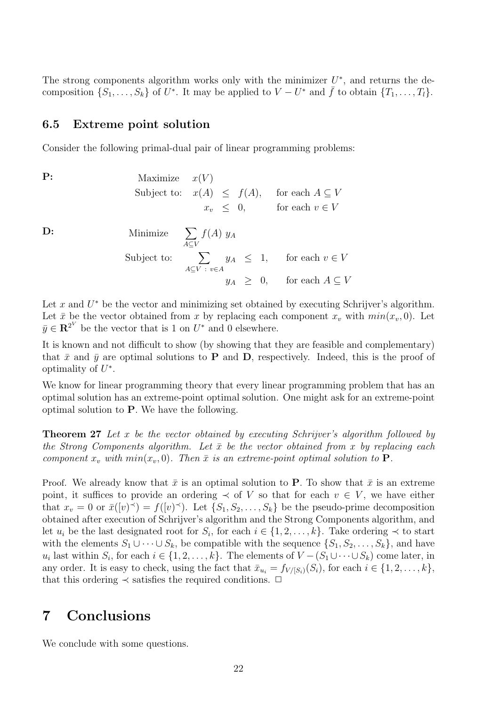The strong components algorithm works only with the minimizer  $U^*$ , and returns the decomposition  $\{S_1, \ldots, S_k\}$  of  $U^*$ . It may be applied to  $V - U^*$  and  $\bar{f}$  to obtain  $\{T_1, \ldots, T_l\}$ .

#### 6.5 Extreme point solution

Consider the following primal-dual pair of linear programming problems:

**P:** Maximize  $x(V)$ Subject to:  $x(A) \leq f(A)$ , for each  $A \subseteq V$  $x_v \leq 0$ , for each  $v \in V$ D: Minimize  $\sum$ A⊆V  $f(A)$  y<sub>A</sub> Subject to:  $\sum$  $A \subseteq V : v \in A$  $y_A \leq 1$ , for each  $v \in V$  $y_A \geq 0$ , for each  $A \subseteq V$ 

Let  $x$  and  $U^*$  be the vector and minimizing set obtained by executing Schrijver's algorithm. Let  $\bar{x}$  be the vector obtained from x by replacing each component  $x_v$  with  $min(x_v, 0)$ . Let  $\bar{y} \in \mathbb{R}^{2^V}$  be the vector that is 1 on  $U^*$  and 0 elsewhere.

It is known and not difficult to show (by showing that they are feasible and complementary) that  $\bar{x}$  and  $\bar{y}$  are optimal solutions to **P** and **D**, respectively. Indeed, this is the proof of optimality of  $U^*$ .

We know for linear programming theory that every linear programming problem that has an optimal solution has an extreme-point optimal solution. One might ask for an extreme-point optimal solution to P. We have the following.

**Theorem 27** Let x be the vector obtained by executing Schrijver's algorithm followed by the Strong Components algorithm. Let  $\bar{x}$  be the vector obtained from x by replacing each component  $x_v$  with  $min(x_v, 0)$ . Then  $\bar{x}$  is an extreme-point optimal solution to **P**.

Proof. We already know that  $\bar{x}$  is an optimal solution to P. To show that  $\bar{x}$  is an extreme point, it suffices to provide an ordering  $\prec$  of V so that for each  $v \in V$ , we have either that  $x_v = 0$  or  $\bar{x}([v]^{\prec}) = f([v]^{\prec})$ . Let  $\{S_1, S_2, \ldots, S_k\}$  be the pseudo-prime decomposition obtained after execution of Schrijver's algorithm and the Strong Components algorithm, and let  $u_i$  be the last designated root for  $S_i$ , for each  $i \in \{1, 2, \ldots, k\}$ . Take ordering  $\prec$  to start with the elements  $S_1 \cup \cdots \cup S_k$ , be compatible with the sequence  $\{S_1, S_2, \ldots, S_k\}$ , and have  $u_i$  last within  $S_i$ , for each  $i \in \{1, 2, \ldots, k\}$ . The elements of  $V - (S_1 \cup \cdots \cup S_k)$  come later, in any order. It is easy to check, using the fact that  $\bar{x}_{u_i} = f_{V/(S_i)}(S_i)$ , for each  $i \in \{1, 2, ..., k\}$ , that this ordering  $\prec$  satisfies the required conditions.  $\Box$ 

# 7 Conclusions

We conclude with some questions.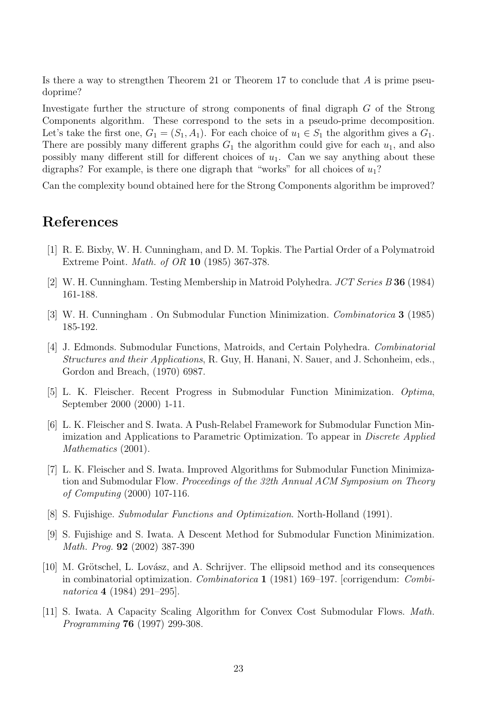Is there a way to strengthen Theorem 21 or Theorem 17 to conclude that  $A$  is prime pseudoprime?

Investigate further the structure of strong components of final digraph G of the Strong Components algorithm. These correspond to the sets in a pseudo-prime decomposition. Let's take the first one,  $G_1 = (S_1, A_1)$ . For each choice of  $u_1 \in S_1$  the algorithm gives a  $G_1$ . There are possibly many different graphs  $G_1$  the algorithm could give for each  $u_1$ , and also possibly many different still for different choices of  $u_1$ . Can we say anything about these digraphs? For example, is there one digraph that "works" for all choices of  $u_1$ ?

Can the complexity bound obtained here for the Strong Components algorithm be improved?

## References

- [1] R. E. Bixby, W. H. Cunningham, and D. M. Topkis. The Partial Order of a Polymatroid Extreme Point. Math. of OR 10 (1985) 367-378.
- [2] W. H. Cunningham. Testing Membership in Matroid Polyhedra. JCT Series B 36 (1984) 161-188.
- [3] W. H. Cunningham . On Submodular Function Minimization. Combinatorica 3 (1985) 185-192.
- [4] J. Edmonds. Submodular Functions, Matroids, and Certain Polyhedra. Combinatorial Structures and their Applications, R. Guy, H. Hanani, N. Sauer, and J. Schonheim, eds., Gordon and Breach, (1970) 6987.
- [5] L. K. Fleischer. Recent Progress in Submodular Function Minimization. Optima, September 2000 (2000) 1-11.
- [6] L. K. Fleischer and S. Iwata. A Push-Relabel Framework for Submodular Function Minimization and Applications to Parametric Optimization. To appear in Discrete Applied Mathematics  $(2001)$ .
- [7] L. K. Fleischer and S. Iwata. Improved Algorithms for Submodular Function Minimization and Submodular Flow. Proceedings of the 32th Annual ACM Symposium on Theory of Computing (2000) 107-116.
- [8] S. Fujishige. Submodular Functions and Optimization. North-Holland (1991).
- [9] S. Fujishige and S. Iwata. A Descent Method for Submodular Function Minimization. Math. Prog. 92 (2002) 387-390
- [10] M. Grötschel, L. Lovász, and A. Schrijver. The ellipsoid method and its consequences in combinatorial optimization. Combinatorica 1 (1981) 169–197. [corrigendum: Combinatorica 4 (1984) 291–295].
- [11] S. Iwata. A Capacity Scaling Algorithm for Convex Cost Submodular Flows. Math. Programming 76 (1997) 299-308.